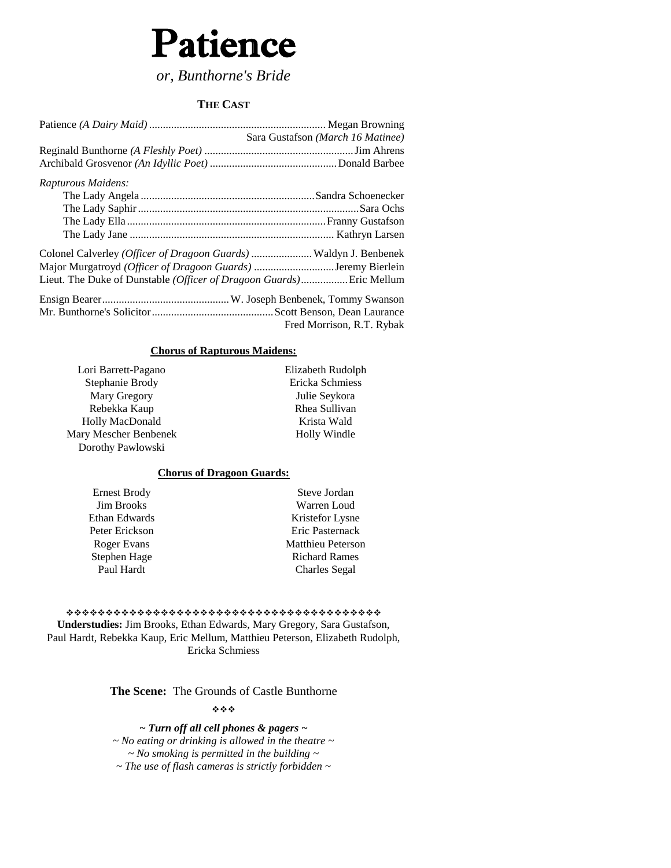# Patience

*or, Bunthorne's Bride*

#### **THE CAST**

|                                                                   | Sara Gustafson (March 16 Matinee) |
|-------------------------------------------------------------------|-----------------------------------|
|                                                                   |                                   |
|                                                                   |                                   |
| Rapturous Maidens:                                                |                                   |
|                                                                   |                                   |
|                                                                   |                                   |
|                                                                   |                                   |
|                                                                   |                                   |
| Colonel Calverley (Officer of Dragoon Guards)  Waldyn J. Benbenek |                                   |
| Major Murgatroyd (Officer of Dragoon Guards) Jeremy Bierlein      |                                   |
|                                                                   |                                   |
|                                                                   |                                   |
|                                                                   |                                   |
|                                                                   | Fred Morrison, R.T. Rybak         |

#### **Chorus of Rapturous Maidens:**

Lori Barrett-Pagano Stephanie Brody Mary Gregory Rebekka Kaup Holly MacDonald Mary Mescher Benbenek Dorothy Pawlowski

Elizabeth Rudolph Ericka Schmiess Julie Seykora Rhea Sullivan Krista Wald Holly Windle

#### **Chorus of Dragoon Guards:**

Ernest Brody Jim Brooks Ethan Edwards Peter Erickson Roger Evans Stephen Hage Paul Hardt

Steve Jordan Warren Loud Kristefor Lysne Eric Pasternack Matthieu Peterson Richard Rames Charles Segal

 **Understudies:** Jim Brooks, Ethan Edwards, Mary Gregory, Sara Gustafson, Paul Hardt, Rebekka Kaup, Eric Mellum, Matthieu Peterson, Elizabeth Rudolph, Ericka Schmiess

**The Scene:** The Grounds of Castle Bunthorne

\*\*\*

*~ Turn off all cell phones & pagers ~ ~ No eating or drinking is allowed in the theatre ~ ~ No smoking is permitted in the building ~ ~ The use of flash cameras is strictly forbidden ~*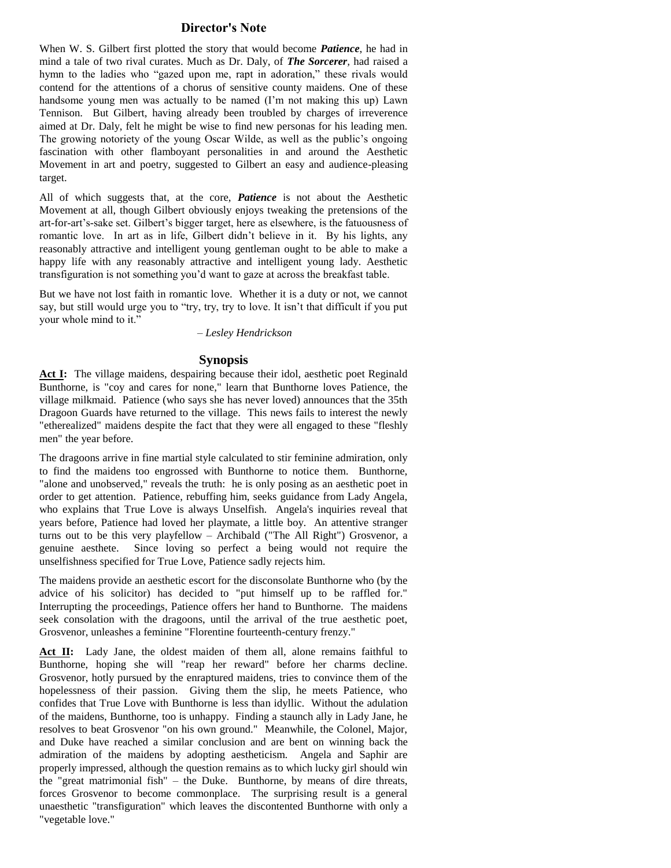#### **Director's Note**

When W. S. Gilbert first plotted the story that would become *Patience*, he had in mind a tale of two rival curates. Much as Dr. Daly, of *The Sorcerer,* had raised a hymn to the ladies who "gazed upon me, rapt in adoration," these rivals would contend for the attentions of a chorus of sensitive county maidens. One of these handsome young men was actually to be named (I'm not making this up) Lawn Tennison. But Gilbert, having already been troubled by charges of irreverence aimed at Dr. Daly, felt he might be wise to find new personas for his leading men. The growing notoriety of the young Oscar Wilde, as well as the public's ongoing fascination with other flamboyant personalities in and around the Aesthetic Movement in art and poetry, suggested to Gilbert an easy and audience-pleasing target.

All of which suggests that, at the core, *Patience* is not about the Aesthetic Movement at all, though Gilbert obviously enjoys tweaking the pretensions of the art-for-art's-sake set. Gilbert's bigger target, here as elsewhere, is the fatuousness of romantic love. In art as in life, Gilbert didn't believe in it. By his lights, any reasonably attractive and intelligent young gentleman ought to be able to make a happy life with any reasonably attractive and intelligent young lady. Aesthetic transfiguration is not something you'd want to gaze at across the breakfast table.

But we have not lost faith in romantic love. Whether it is a duty or not, we cannot say, but still would urge you to "try, try, try to love. It isn't that difficult if you put your whole mind to it."

*– Lesley Hendrickson*

#### **Synopsis**

Act I: The village maidens, despairing because their idol, aesthetic poet Reginald Bunthorne, is "coy and cares for none," learn that Bunthorne loves Patience, the village milkmaid. Patience (who says she has never loved) announces that the 35th Dragoon Guards have returned to the village. This news fails to interest the newly "etherealized" maidens despite the fact that they were all engaged to these "fleshly men" the year before.

The dragoons arrive in fine martial style calculated to stir feminine admiration, only to find the maidens too engrossed with Bunthorne to notice them. Bunthorne, "alone and unobserved," reveals the truth: he is only posing as an aesthetic poet in order to get attention. Patience, rebuffing him, seeks guidance from Lady Angela, who explains that True Love is always Unselfish. Angela's inquiries reveal that years before, Patience had loved her playmate, a little boy. An attentive stranger turns out to be this very playfellow – Archibald ("The All Right") Grosvenor, a genuine aesthete. Since loving so perfect a being would not require the unselfishness specified for True Love, Patience sadly rejects him.

The maidens provide an aesthetic escort for the disconsolate Bunthorne who (by the advice of his solicitor) has decided to "put himself up to be raffled for." Interrupting the proceedings, Patience offers her hand to Bunthorne. The maidens seek consolation with the dragoons, until the arrival of the true aesthetic poet, Grosvenor, unleashes a feminine "Florentine fourteenth-century frenzy."

Act II: Lady Jane, the oldest maiden of them all, alone remains faithful to Bunthorne, hoping she will "reap her reward" before her charms decline. Grosvenor, hotly pursued by the enraptured maidens, tries to convince them of the hopelessness of their passion. Giving them the slip, he meets Patience, who confides that True Love with Bunthorne is less than idyllic. Without the adulation of the maidens, Bunthorne, too is unhappy. Finding a staunch ally in Lady Jane, he resolves to beat Grosvenor "on his own ground." Meanwhile, the Colonel, Major, and Duke have reached a similar conclusion and are bent on winning back the admiration of the maidens by adopting aestheticism. Angela and Saphir are properly impressed, although the question remains as to which lucky girl should win the "great matrimonial fish" – the Duke. Bunthorne, by means of dire threats, forces Grosvenor to become commonplace. The surprising result is a general unaesthetic "transfiguration" which leaves the discontented Bunthorne with only a "vegetable love."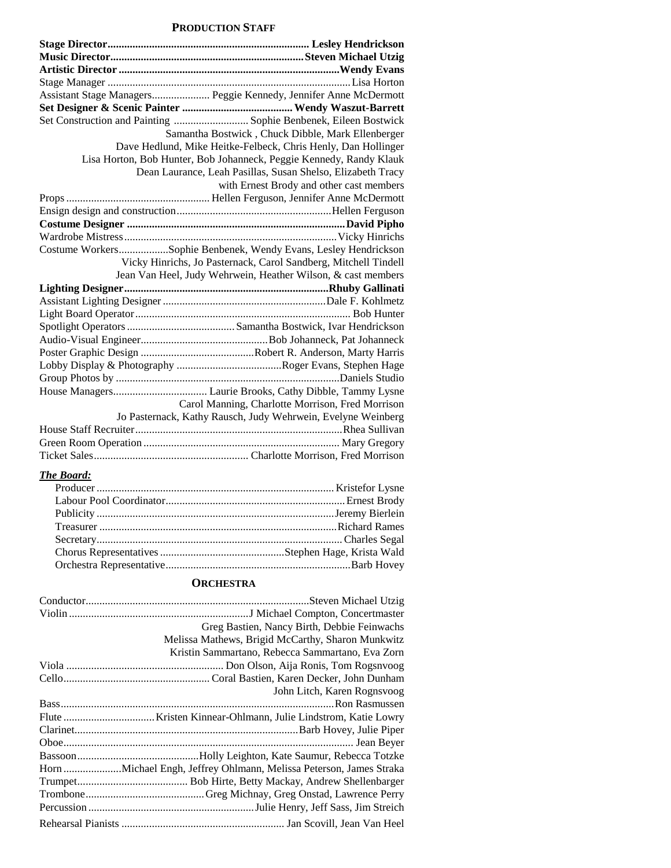#### **PRODUCTION STAFF**

| Assistant Stage Managers Peggie Kennedy, Jennifer Anne McDermott    |
|---------------------------------------------------------------------|
|                                                                     |
| Set Construction and Painting  Sophie Benbenek, Eileen Bostwick     |
| Samantha Bostwick, Chuck Dibble, Mark Ellenberger                   |
| Dave Hedlund, Mike Heitke-Felbeck, Chris Henly, Dan Hollinger       |
| Lisa Horton, Bob Hunter, Bob Johanneck, Peggie Kennedy, Randy Klauk |
| Dean Laurance, Leah Pasillas, Susan Shelso, Elizabeth Tracy         |
| with Ernest Brody and other cast members                            |
|                                                                     |
|                                                                     |
|                                                                     |
|                                                                     |
| Costume WorkersSophie Benbenek, Wendy Evans, Lesley Hendrickson     |
| Vicky Hinrichs, Jo Pasternack, Carol Sandberg, Mitchell Tindell     |
| Jean Van Heel, Judy Wehrwein, Heather Wilson, & cast members        |
|                                                                     |
|                                                                     |
|                                                                     |
|                                                                     |
|                                                                     |
|                                                                     |
|                                                                     |
|                                                                     |
|                                                                     |
| Carol Manning, Charlotte Morrison, Fred Morrison                    |
| Jo Pasternack, Kathy Rausch, Judy Wehrwein, Evelyne Weinberg        |
|                                                                     |
|                                                                     |
|                                                                     |

#### *The Board:*

#### **ORCHESTRA**

| Greg Bastien, Nancy Birth, Debbie Feinwachs       |
|---------------------------------------------------|
| Melissa Mathews, Brigid McCarthy, Sharon Munkwitz |
| Kristin Sammartano, Rebecca Sammartano, Eva Zorn  |
|                                                   |
|                                                   |
| John Litch, Karen Rognsvoog                       |
|                                                   |
|                                                   |
|                                                   |
|                                                   |
|                                                   |
|                                                   |
|                                                   |
|                                                   |
|                                                   |
|                                                   |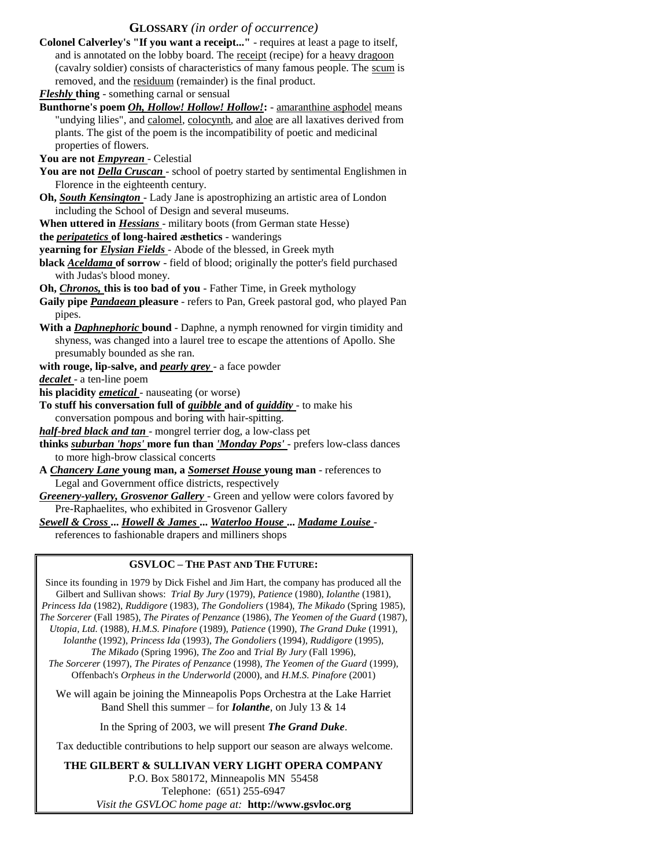#### **GLOSSARY** *(in order of occurrence)*

**Colonel Calverley's "If you want a receipt..."** - requires at least a page to itself, and is annotated on the lobby board. The receipt (recipe) for a heavy dragoon (cavalry soldier) consists of characteristics of many famous people. The scum is removed, and the residuum (remainder) is the final product.

*Fleshly* **thing** - something carnal or sensual

**Bunthorne's poem** *Oh, Hollow! Hollow! Hollow!***:** - amaranthine asphodel means "undying lilies", and calomel, colocynth, and aloe are all laxatives derived from plants. The gist of the poem is the incompatibility of poetic and medicinal properties of flowers.

**You are not** *Empyrean* - Celestial

- **You are not** *Della Cruscan*  school of poetry started by sentimental Englishmen in Florence in the eighteenth century.
- **Oh,** *South Kensington*  Lady Jane is apostrophizing an artistic area of London including the School of Design and several museums.
- **When uttered in** *Hessians*  military boots (from German state Hesse)
- **the** *peripatetics* **of long-haired æsthetics**  wanderings

**yearning for** *Elysian Fields* - Abode of the blessed, in Greek myth

**black** *Aceldama* **of sorrow** - field of blood; originally the potter's field purchased with Judas's blood money.

**Oh,** *Chronos,* **this is too bad of you** - Father Time, in Greek mythology

**Gaily pipe** *Pandaean* **pleasure** - refers to Pan, Greek pastoral god, who played Pan pipes.

- **With a** *Daphnephoric* **bound**  Daphne, a nymph renowned for virgin timidity and shyness, was changed into a laurel tree to escape the attentions of Apollo. She presumably bounded as she ran.
- **with rouge, lip-salve, and** *pearly grey*  a face powder

*decalet* - a ten-line poem

**his placidity** *emetical* - nauseating (or worse)

**To stuff his conversation full of** *quibble* **and of** *quiddity* - to make his conversation pompous and boring with hair-spitting.

*half-bred black and tan* - mongrel terrier dog, a low-class pet

**thinks** *suburban 'hops'* **more fun than** *'Monday Pops'* - prefers low-class dances to more high-brow classical concerts

**A** *Chancery Lane* **young man, a** *Somerset House* **young man** - references to Legal and Government office districts, respectively

*Greenery-yallery, Grosvenor Gallery* - Green and yellow were colors favored by Pre-Raphaelites, who exhibited in Grosvenor Gallery

*Sewell & Cross* **...** *Howell & James* **...** *Waterloo House* **...** *Madame Louise* -

references to fashionable drapers and milliners shops

#### **GSVLOC – THE PAST AND THE FUTURE:**

Since its founding in 1979 by Dick Fishel and Jim Hart, the company has produced all the Gilbert and Sullivan shows: *Trial By Jury* (1979), *Patience* (1980), *Iolanthe* (1981), *Princess Ida* (1982), *Ruddigore* (1983), *The Gondoliers* (1984), *The Mikado* (Spring 1985), *The Sorcerer* (Fall 1985), *The Pirates of Penzance* (1986), *The Yeomen of the Guard* (1987), *Utopia, Ltd.* (1988), *H.M.S. Pinafore* (1989), *Patience* (1990), *The Grand Duke* (1991), *Iolanthe* (1992), *Princess Ida* (1993), *The Gondoliers* (1994), *Ruddigore* (1995), *The Mikado* (Spring 1996), *The Zoo* and *Trial By Jury* (Fall 1996), *The Sorcerer* (1997), *The Pirates of Penzance* (1998), *The Yeomen of the Guard* (1999),

Offenbach's *Orpheus in the Underworld* (2000), and *H.M.S. Pinafore* (2001)

We will again be joining the Minneapolis Pops Orchestra at the Lake Harriet Band Shell this summer – for *Iolanthe*, on July 13 & 14

In the Spring of 2003, we will present *The Grand Duke*.

Tax deductible contributions to help support our season are always welcome.

**THE GILBERT & SULLIVAN VERY LIGHT OPERA COMPANY**  P.O. Box 580172, Minneapolis MN 55458 Telephone: (651) 255-6947 *Visit the GSVLOC home page at:* **http://www.gsvloc.org**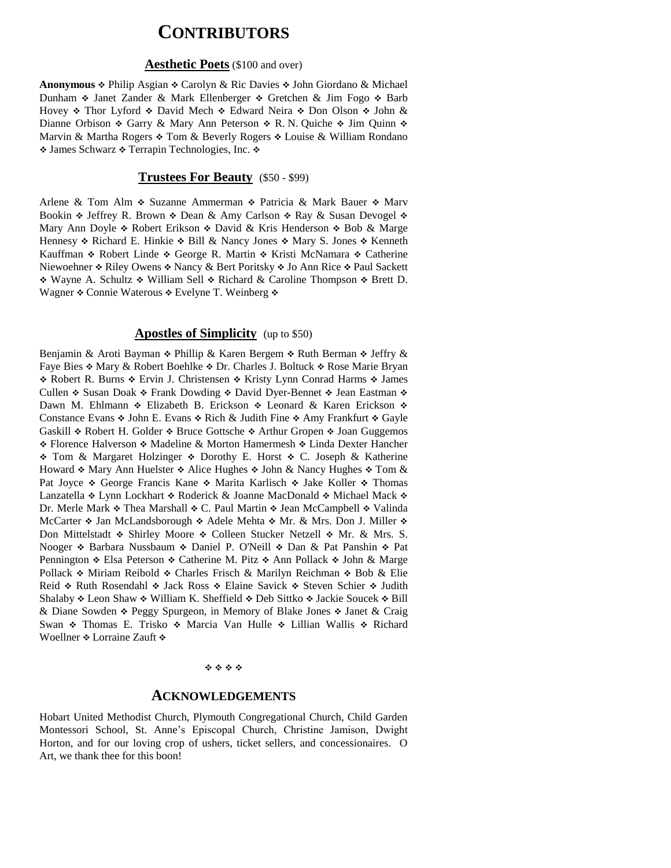### **CONTRIBUTORS**

#### **Aesthetic Poets** (\$100 and over)

Anonymous  $\div$  Philip Asgian  $\div$  Carolyn & Ric Davies  $\div$  John Giordano & Michael Dunham  $\ast$  Janet Zander & Mark Ellenberger  $\ast$  Gretchen & Jim Fogo  $\ast$  Barb Hovey  $\div$  Thor Lyford  $\div$  David Mech  $\div$  Edward Neira  $\div$  Don Olson  $\div$  John & Dianne Orbison  $\triangle$  Garry & Mary Ann Peterson  $\triangle$  R. N. Quiche  $\triangle$  Jim Quinn  $\triangle$ Marvin & Martha Rogers  $\div$  Tom & Beverly Rogers  $\div$  Louise & William Rondano  $\triangleleft$  James Schwarz  $\triangleleft$  Terrapin Technologies, Inc.  $\triangleleft$ 

#### **Trustees For Beauty** (\$50 - \$99)

Arlene & Tom Alm  $\div$  Suzanne Ammerman  $\div$  Patricia & Mark Bauer  $\div$  Marv Bookin  $\triangle$  Jeffrey R. Brown  $\triangle$  Dean & Amy Carlson  $\triangle$  Ray & Susan Devogel  $\triangle$ Mary Ann Doyle  $\triangle$  Robert Erikson  $\triangle$  David & Kris Henderson  $\triangle$  Bob & Marge Hennesy  $\triangle$  Richard E. Hinkie  $\triangle$  Bill & Nancy Jones  $\triangle$  Mary S. Jones  $\triangle$  Kenneth Kauffman • Robert Linde • George R. Martin • Kristi McNamara • Catherine Niewoehner  $\triangle$  Riley Owens  $\triangle$  Nancy & Bert Poritsky  $\triangle$  Jo Ann Rice  $\triangle$  Paul Sackett \* Wayne A. Schultz \* William Sell \* Richard & Caroline Thompson \* Brett D. Wagner  $\triangle$  Connie Waterous  $\triangle$  Evelyne T. Weinberg  $\triangle$ 

#### **Apostles of Simplicity** (up to \$50)

Benjamin & Aroti Bayman  $\div$  Phillip & Karen Bergem  $\div$  Ruth Berman  $\div$  Jeffry & Faye Bies  $\triangle$  Mary & Robert Boehlke  $\triangle$  Dr. Charles J. Boltuck  $\triangle$  Rose Marie Bryan \* Robert R. Burns \* Ervin J. Christensen \* Kristy Lynn Conrad Harms \* James Cullen  $\triangle$  Susan Doak  $\triangle$  Frank Dowding  $\triangle$  David Dyer-Bennet  $\triangle$  Jean Eastman  $\triangle$ Dawn M. Ehlmann  $\div$  Elizabeth B. Erickson  $\div$  Leonard & Karen Erickson  $\div$ Constance Evans  $\div$  John E. Evans  $\div$  Rich & Judith Fine  $\div$  Amy Frankfurt  $\div$  Gayle Gaskill  $\div$  Robert H. Golder  $\div$  Bruce Gottsche  $\div$  Arthur Gropen  $\div$  Joan Guggemos \* Florence Halverson \* Madeline & Morton Hamermesh \* Linda Dexter Hancher • Tom & Margaret Holzinger • Dorothy E. Horst • C. Joseph & Katherine Howard  $\cdot$  Mary Ann Huelster  $\cdot$  Alice Hughes  $\cdot$  John & Nancy Hughes  $\cdot$  Tom & Pat Joyce  $\triangleleft$  George Francis Kane  $\triangleleft$  Marita Karlisch  $\triangleleft$  Jake Koller  $\triangleleft$  Thomas Lanzatella • Lynn Lockhart • Roderick & Joanne MacDonald • Michael Mack • Dr. Merle Mark  $\div$  Thea Marshall  $\div$  C. Paul Martin  $\div$  Jean McCampbell  $\div$  Valinda McCarter  $\div$  Jan McLandsborough  $\div$  Adele Mehta  $\div$  Mr. & Mrs. Don J. Miller  $\div$ Don Mittelstadt  $\div$  Shirley Moore  $\div$  Colleen Stucker Netzell  $\div$  Mr. & Mrs. S. Nooger  $\div$  Barbara Nussbaum  $\div$  Daniel P. O'Neill  $\div$  Dan & Pat Panshin  $\div$  Pat Pennington  $\div$  Elsa Peterson  $\div$  Catherine M. Pitz  $\div$  Ann Pollack  $\div$  John & Marge Pollack  $\div$  Miriam Reibold  $\div$  Charles Frisch & Marilyn Reichman  $\div$  Bob & Elie Reid  $\div$  Ruth Rosendahl  $\div$  Jack Ross  $\div$  Elaine Savick  $\div$  Steven Schier  $\div$  Judith Shalaby  $\div$  Leon Shaw  $\div$  William K. Sheffield  $\div$  Deb Sittko  $\div$  Jackie Soucek  $\div$  Bill & Diane Sowden  $\triangle$  Peggy Spurgeon, in Memory of Blake Jones  $\triangle$  Janet & Craig Swan • Thomas E. Trisko • Marcia Van Hulle • Lillian Wallis • Richard Woellner  $\triangle$  Lorraine Zauft  $\triangle$ 

#### \*\*\*\*

#### **ACKNOWLEDGEMENTS**

Hobart United Methodist Church, Plymouth Congregational Church, Child Garden Montessori School, St. Anne's Episcopal Church, Christine Jamison, Dwight Horton, and for our loving crop of ushers, ticket sellers, and concessionaires. O Art, we thank thee for this boon!